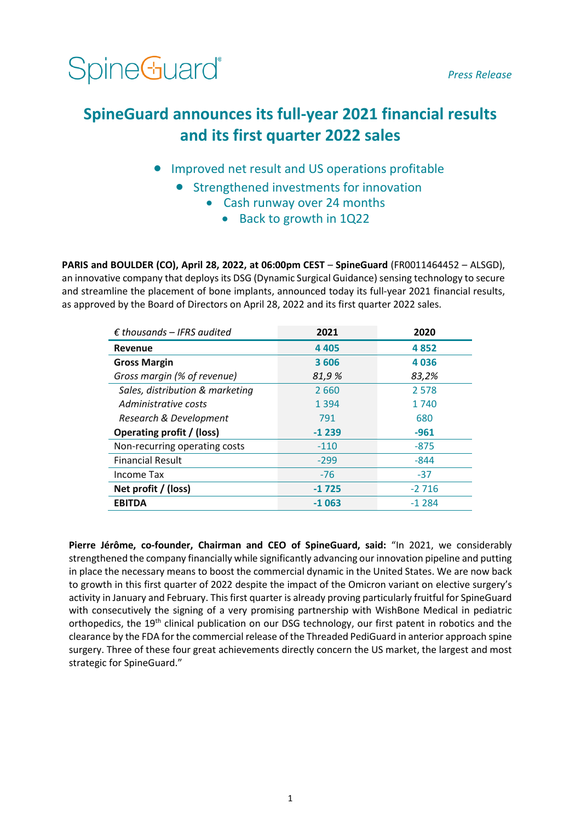SpineGuard<sup>®</sup>

*Press Release*

# **SpineGuard announces its full-year 2021 financial results and its first quarter 2022 sales**

- Improved net result and US operations profitable
	- Strengthened investments for innovation
		- Cash runway over 24 months
			- Back to growth in 1Q22

**PARIS and BOULDER (CO), April 28, 2022, at 06:00pm CEST** – **SpineGuard** (FR0011464452 – ALSGD), an innovative company that deploys its DSG (Dynamic Surgical Guidance) sensing technology to secure and streamline the placement of bone implants, announced today its full-year 2021 financial results, as approved by the Board of Directors on April 28, 2022 and its first quarter 2022 sales.

| $\epsilon$ thousands – IFRS audited | 2021    | 2020    |
|-------------------------------------|---------|---------|
| Revenue                             | 4 4 0 5 | 4852    |
| <b>Gross Margin</b>                 | 3606    | 4036    |
| Gross margin (% of revenue)         | 81,9%   | 83,2%   |
| Sales, distribution & marketing     | 2660    | 2 5 7 8 |
| Administrative costs                | 1 3 9 4 | 1 740   |
| Research & Development              | 791     | 680     |
| Operating profit / (loss)           | $-1239$ | $-961$  |
| Non-recurring operating costs       | $-110$  | $-875$  |
| <b>Financial Result</b>             | $-299$  | $-844$  |
| <b>Income Tax</b>                   | $-76$   | $-37$   |
| Net profit / (loss)                 | $-1725$ | $-2716$ |
| <b>EBITDA</b>                       | $-1063$ | $-1284$ |

**Pierre Jérôme, co-founder, Chairman and CEO of SpineGuard, said:** "In 2021, we considerably strengthened the company financially while significantly advancing our innovation pipeline and putting in place the necessary means to boost the commercial dynamic in the United States. We are now back to growth in this first quarter of 2022 despite the impact of the Omicron variant on elective surgery's activity in January and February. This first quarter is already proving particularly fruitful for SpineGuard with consecutively the signing of a very promising partnership with WishBone Medical in pediatric orthopedics, the 19<sup>th</sup> clinical publication on our DSG technology, our first patent in robotics and the clearance by the FDA for the commercial release of the Threaded PediGuard in anterior approach spine surgery. Three of these four great achievements directly concern the US market, the largest and most strategic for SpineGuard."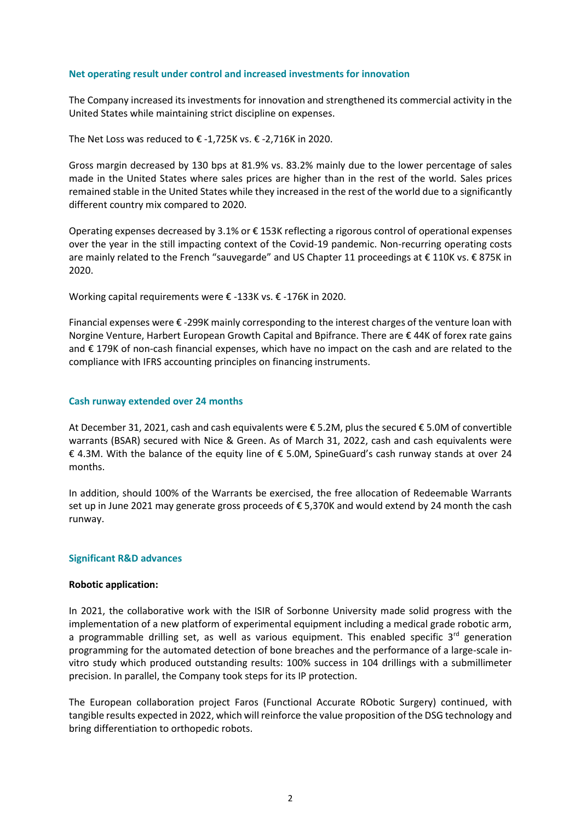## **Net operating result under control and increased investments for innovation**

The Company increased its investments for innovation and strengthened its commercial activity in the United States while maintaining strict discipline on expenses.

The Net Loss was reduced to  $\epsilon$  -1,725K vs.  $\epsilon$  -2,716K in 2020.

Gross margin decreased by 130 bps at 81.9% vs. 83.2% mainly due to the lower percentage of sales made in the United States where sales prices are higher than in the rest of the world. Sales prices remained stable in the United States while they increased in the rest of the world due to a significantly different country mix compared to 2020.

Operating expenses decreased by 3.1% or € 153K reflecting a rigorous control of operational expenses over the year in the still impacting context of the Covid-19 pandemic. Non-recurring operating costs are mainly related to the French "sauvegarde" and US Chapter 11 proceedings at € 110K vs. € 875K in 2020.

Working capital requirements were € -133K vs. € -176K in 2020.

Financial expenses were  $\epsilon$  -299K mainly corresponding to the interest charges of the venture loan with Norgine Venture, Harbert European Growth Capital and Bpifrance. There are € 44K of forex rate gains and € 179K of non-cash financial expenses, which have no impact on the cash and are related to the compliance with IFRS accounting principles on financing instruments.

## **Cash runway extended over 24 months**

At December 31, 2021, cash and cash equivalents were € 5.2M, plus the secured € 5.0M of convertible warrants (BSAR) secured with Nice & Green. As of March 31, 2022, cash and cash equivalents were € 4.3M. With the balance of the equity line of € 5.0M, SpineGuard's cash runway stands at over 24 months.

In addition, should 100% of the Warrants be exercised, the free allocation of Redeemable Warrants set up in June 2021 may generate gross proceeds of € 5,370K and would extend by 24 month the cash runway.

### **Significant R&D advances**

### **Robotic application:**

In 2021, the collaborative work with the ISIR of Sorbonne University made solid progress with the implementation of a new platform of experimental equipment including a medical grade robotic arm, a programmable drilling set, as well as various equipment. This enabled specific 3<sup>rd</sup> generation programming for the automated detection of bone breaches and the performance of a large-scale invitro study which produced outstanding results: 100% success in 104 drillings with a submillimeter precision. In parallel, the Company took steps for its IP protection.

The European collaboration project Faros (Functional Accurate RObotic Surgery) continued, with tangible results expected in 2022, which will reinforce the value proposition of the DSG technology and bring differentiation to orthopedic robots.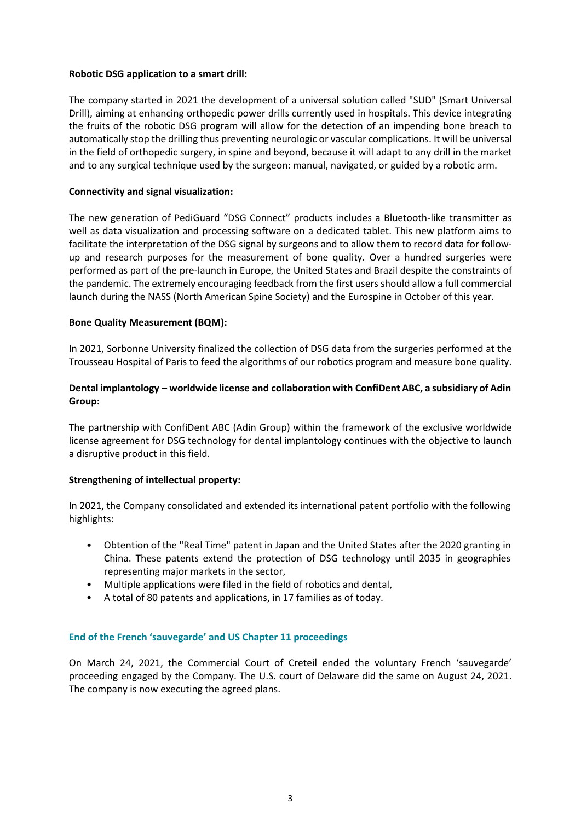## **Robotic DSG application to a smart drill:**

The company started in 2021 the development of a universal solution called "SUD" (Smart Universal Drill), aiming at enhancing orthopedic power drills currently used in hospitals. This device integrating the fruits of the robotic DSG program will allow for the detection of an impending bone breach to automatically stop the drilling thus preventing neurologic or vascular complications. It will be universal in the field of orthopedic surgery, in spine and beyond, because it will adapt to any drill in the market and to any surgical technique used by the surgeon: manual, navigated, or guided by a robotic arm.

# **Connectivity and signal visualization:**

The new generation of PediGuard "DSG Connect" products includes a Bluetooth-like transmitter as well as data visualization and processing software on a dedicated tablet. This new platform aims to facilitate the interpretation of the DSG signal by surgeons and to allow them to record data for followup and research purposes for the measurement of bone quality. Over a hundred surgeries were performed as part of the pre-launch in Europe, the United States and Brazil despite the constraints of the pandemic. The extremely encouraging feedback from the first users should allow a full commercial launch during the NASS (North American Spine Society) and the Eurospine in October of this year.

# **Bone Quality Measurement (BQM):**

In 2021, Sorbonne University finalized the collection of DSG data from the surgeries performed at the Trousseau Hospital of Paris to feed the algorithms of our robotics program and measure bone quality.

# **Dental implantology – worldwide license and collaboration with ConfiDent ABC, a subsidiary of Adin Group:**

The partnership with ConfiDent ABC (Adin Group) within the framework of the exclusive worldwide license agreement for DSG technology for dental implantology continues with the objective to launch a disruptive product in this field.

## **Strengthening of intellectual property:**

In 2021, the Company consolidated and extended its international patent portfolio with the following highlights:

- Obtention of the "Real Time" patent in Japan and the United States after the 2020 granting in China. These patents extend the protection of DSG technology until 2035 in geographies representing major markets in the sector,
- Multiple applications were filed in the field of robotics and dental,
- A total of 80 patents and applications, in 17 families as of today.

## **End of the French 'sauvegarde' and US Chapter 11 proceedings**

On March 24, 2021, the Commercial Court of Creteil ended the voluntary French 'sauvegarde' proceeding engaged by the Company. The U.S. court of Delaware did the same on August 24, 2021. The company is now executing the agreed plans.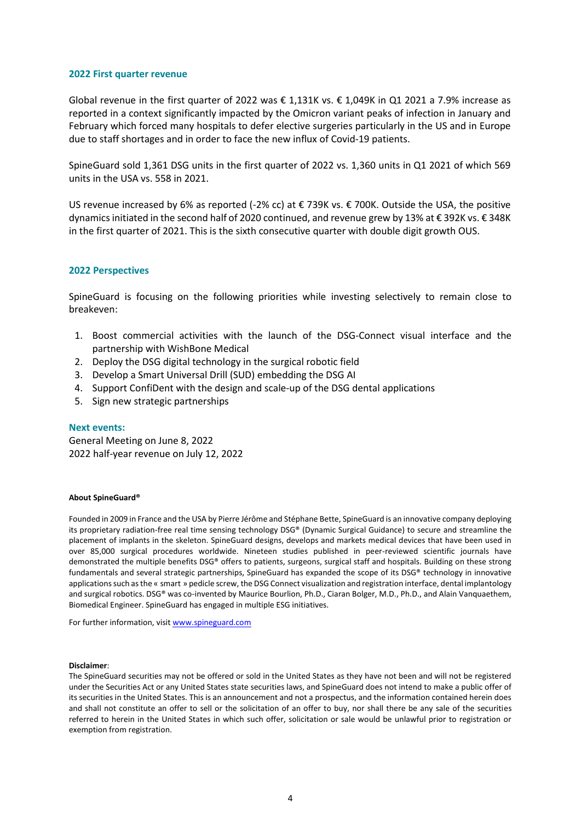#### **2022 First quarter revenue**

Global revenue in the first quarter of 2022 was € 1,131K vs. € 1,049K in Q1 2021 a 7.9% increase as reported in a context significantly impacted by the Omicron variant peaks of infection in January and February which forced many hospitals to defer elective surgeries particularly in the US and in Europe due to staff shortages and in order to face the new influx of Covid-19 patients.

SpineGuard sold 1,361 DSG units in the first quarter of 2022 vs. 1,360 units in Q1 2021 of which 569 units in the USA vs. 558 in 2021.

US revenue increased by 6% as reported (-2% cc) at € 739K vs. € 700K. Outside the USA, the positive dynamics initiated in the second half of 2020 continued, and revenue grew by 13% at € 392K vs. € 348K in the first quarter of 2021. This is the sixth consecutive quarter with double digit growth OUS.

#### **2022 Perspectives**

SpineGuard is focusing on the following priorities while investing selectively to remain close to breakeven:

- 1. Boost commercial activities with the launch of the DSG-Connect visual interface and the partnership with WishBone Medical
- 2. Deploy the DSG digital technology in the surgical robotic field
- 3. Develop a Smart Universal Drill (SUD) embedding the DSG AI
- 4. Support ConfiDent with the design and scale-up of the DSG dental applications
- 5. Sign new strategic partnerships

#### **Next events:**

General Meeting on June 8, 2022 2022 half-year revenue on July 12, 2022

#### **About SpineGuard®**

Founded in 2009 in France and the USA by Pierre Jérôme and Stéphane Bette, SpineGuard is an innovative company deploying its proprietary radiation-free real time sensing technology DSG® (Dynamic Surgical Guidance) to secure and streamline the placement of implants in the skeleton. SpineGuard designs, develops and markets medical devices that have been used in over 85,000 surgical procedures worldwide. Nineteen studies published in peer-reviewed scientific journals have demonstrated the multiple benefits DSG® offers to patients, surgeons, surgical staff and hospitals. Building on these strong fundamentals and several strategic partnerships, SpineGuard has expanded the scope of its DSG® technology in innovative applications such as the « smart » pedicle screw, the DSG Connect visualization and registration interface, dental implantology and surgical robotics. DSG® was co-invented by Maurice Bourlion, Ph.D., Ciaran Bolger, M.D., Ph.D., and Alain Vanquaethem, Biomedical Engineer. SpineGuard has engaged in multiple ESG initiatives.

For further information, visit [www.spineguard.com](http://www.spineguard.com/)

#### **Disclaimer**:

The SpineGuard securities may not be offered or sold in the United States as they have not been and will not be registered under the Securities Act or any United States state securities laws, and SpineGuard does not intend to make a public offer of its securities in the United States. This is an announcement and not a prospectus, and the information contained herein does and shall not constitute an offer to sell or the solicitation of an offer to buy, nor shall there be any sale of the securities referred to herein in the United States in which such offer, solicitation or sale would be unlawful prior to registration or exemption from registration.